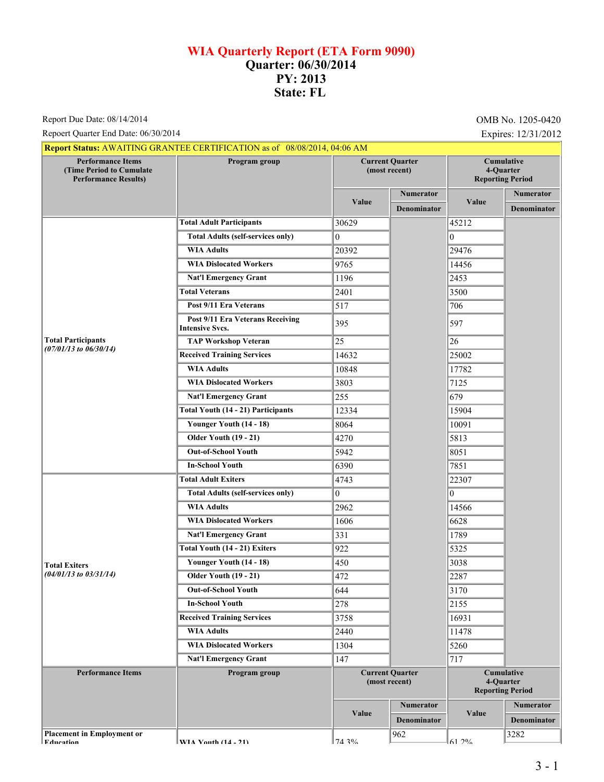## **WIA Quarterly Report (ETA Form 9090) Quarter: 06/30/2014 PY: 2013 State: FL**

Report Due Date: 08/14/2014

Repoert Quarter End Date: 06/30/2014 Expires: 12/31/2012

|                                                                                     | Report Status: AWAITING GRANTEE CERTIFICATION as of 08/08/2014, 04:06 AM |                                         |                    |                                                           |                    |
|-------------------------------------------------------------------------------------|--------------------------------------------------------------------------|-----------------------------------------|--------------------|-----------------------------------------------------------|--------------------|
| <b>Performance Items</b><br>(Time Period to Cumulate<br><b>Performance Results)</b> | Program group                                                            | <b>Current Quarter</b><br>(most recent) |                    | Cumulative<br>4-Quarter<br><b>Reporting Period</b>        |                    |
|                                                                                     |                                                                          | Value                                   | <b>Numerator</b>   |                                                           | Numerator          |
|                                                                                     |                                                                          |                                         | <b>Denominator</b> | Value                                                     | <b>Denominator</b> |
|                                                                                     | <b>Total Adult Participants</b>                                          | 30629                                   |                    | 45212                                                     |                    |
|                                                                                     | <b>Total Adults (self-services only)</b>                                 | $\Omega$                                |                    | $\overline{0}$                                            |                    |
|                                                                                     | <b>WIA Adults</b>                                                        | 20392                                   |                    | 29476                                                     |                    |
|                                                                                     | <b>WIA Dislocated Workers</b>                                            | 9765                                    |                    | 14456                                                     |                    |
|                                                                                     | <b>Nat'l Emergency Grant</b>                                             | 1196                                    |                    | 2453                                                      |                    |
|                                                                                     | <b>Total Veterans</b>                                                    | 2401                                    |                    | 3500                                                      |                    |
|                                                                                     | Post 9/11 Era Veterans                                                   | 517                                     |                    | 706                                                       |                    |
|                                                                                     | Post 9/11 Era Veterans Receiving<br><b>Intensive Svcs.</b>               | 395                                     |                    | 597                                                       |                    |
| <b>Total Participants</b><br>$(07/01/13$ to $06/30/14)$                             | <b>TAP Workshop Veteran</b>                                              | 25                                      |                    | 26                                                        |                    |
|                                                                                     | <b>Received Training Services</b>                                        | 14632                                   |                    | 25002                                                     |                    |
|                                                                                     | <b>WIA Adults</b>                                                        | 10848                                   |                    | 17782                                                     |                    |
|                                                                                     | <b>WIA Dislocated Workers</b>                                            | 3803                                    |                    | 7125                                                      |                    |
|                                                                                     | <b>Nat'l Emergency Grant</b>                                             | 255                                     |                    | 679                                                       |                    |
|                                                                                     | <b>Total Youth (14 - 21) Participants</b>                                | 12334                                   |                    | 15904                                                     |                    |
|                                                                                     | Younger Youth (14 - 18)                                                  | 8064                                    |                    | 10091                                                     |                    |
|                                                                                     | <b>Older Youth (19 - 21)</b>                                             | 4270                                    |                    | 5813                                                      |                    |
|                                                                                     | <b>Out-of-School Youth</b>                                               | 5942                                    |                    | 8051                                                      |                    |
|                                                                                     | <b>In-School Youth</b>                                                   | 6390                                    |                    | 7851                                                      |                    |
|                                                                                     | <b>Total Adult Exiters</b>                                               | 4743                                    |                    | 22307                                                     |                    |
|                                                                                     | <b>Total Adults (self-services only)</b>                                 | $\overline{0}$                          |                    | 10                                                        |                    |
|                                                                                     | <b>WIA Adults</b>                                                        | 2962                                    |                    | 14566                                                     |                    |
|                                                                                     | <b>WIA Dislocated Workers</b>                                            | 1606                                    |                    | 6628                                                      |                    |
|                                                                                     | <b>Nat'l Emergency Grant</b>                                             | 331                                     |                    | 1789                                                      |                    |
|                                                                                     | <b>Total Youth (14 - 21) Exiters</b>                                     | 922                                     |                    | 5325                                                      |                    |
| <b>Total Exiters</b>                                                                | Younger Youth (14 - 18)                                                  | 450                                     |                    | 3038                                                      |                    |
| $(04/01/13$ to $03/31/14)$                                                          | <b>Older Youth (19 - 21)</b>                                             | 472                                     |                    | 2287                                                      |                    |
|                                                                                     | <b>Out-of-School Youth</b>                                               | 644                                     |                    | 3170                                                      |                    |
|                                                                                     | <b>In-School Youth</b>                                                   | 278                                     |                    | 2155                                                      |                    |
|                                                                                     | <b>Received Training Services</b>                                        | 3758                                    |                    | 16931                                                     |                    |
|                                                                                     | <b>WIA Adults</b>                                                        | 2440                                    |                    | 11478                                                     |                    |
|                                                                                     | <b>WIA Dislocated Workers</b>                                            | 1304                                    |                    | 5260                                                      |                    |
|                                                                                     | <b>Nat'l Emergency Grant</b>                                             | 147                                     |                    | 717                                                       |                    |
| <b>Performance Items</b>                                                            | Program group                                                            | <b>Current Quarter</b><br>(most recent) |                    | <b>Cumulative</b><br>4-Quarter<br><b>Reporting Period</b> |                    |
|                                                                                     |                                                                          | Value                                   | <b>Numerator</b>   | Value                                                     | <b>Numerator</b>   |
|                                                                                     |                                                                          |                                         | <b>Denominator</b> |                                                           | <b>Denominator</b> |
| <b>Placement in Employment or</b><br><b>Education</b>                               | <b>WIA Vouth (14 71)</b>                                                 | 71.30/                                  | 962                | 61.20%                                                    | 3282               |

**Placement in Employ** 

**EVIA Vouth (14 - 21)**  $74.3\%$ 

61.2%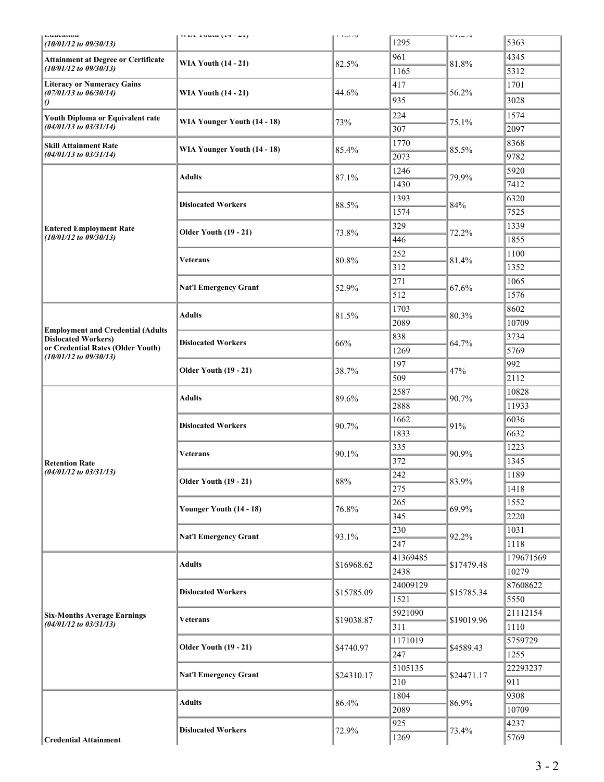| Luuvauon<br>$(10/01/12$ to $09/30/13)$<br><b>Attainment at Degree or Certificate</b><br>$(10/01/12$ to $09/30/13)$ | $(11.1)$ and $(17 - 21)$                   | $1 - 1.500$    | 1295     | $U L L \rightarrow U$ | 5363      |
|--------------------------------------------------------------------------------------------------------------------|--------------------------------------------|----------------|----------|-----------------------|-----------|
|                                                                                                                    |                                            |                | 961      |                       | 4345      |
|                                                                                                                    | <b>WIA Youth (14 - 21)</b>                 | 82.5%          | 1165     | 81.8%                 | 5312      |
| <b>Literacy or Numeracy Gains</b><br>$(07/01/13$ to $06/30/14)$                                                    |                                            |                | 417      |                       | 1701      |
|                                                                                                                    | <b>WIA Youth (14 - 21)</b>                 | 44.6%          | 935      | 56.2%                 | 3028      |
| $\theta$                                                                                                           |                                            |                | 224      |                       | 1574      |
| Youth Diploma or Equivalent rate<br>$(04/01/13$ to $03/31/14)$                                                     | WIA Younger Youth (14 - 18)                | 73%            | 307      | 75.1%                 | 2097      |
|                                                                                                                    |                                            |                | 1770     |                       | 8368      |
| <b>Skill Attainment Rate</b><br>$(04/01/13$ to $03/31/14)$                                                         | WIA Younger Youth (14 - 18)                | 85.4%          | 2073     | 85.5%                 | 9782      |
|                                                                                                                    |                                            |                | 1246     |                       | 5920      |
|                                                                                                                    | <b>Adults</b>                              | 87.1%          | 1430     | 79.9%                 | 7412      |
|                                                                                                                    |                                            |                | 1393     |                       | 6320      |
|                                                                                                                    | <b>Dislocated Workers</b>                  | 88.5%          | 1574     | 84%                   | 7525      |
|                                                                                                                    |                                            |                |          |                       |           |
| <b>Entered Employment Rate</b><br>$(10/01/12$ to $09/30/13)$                                                       | <b>Older Youth (19 - 21)</b>               | 73.8%          | 329      | 72.2%                 | 1339      |
|                                                                                                                    |                                            |                | 446      |                       | 1855      |
|                                                                                                                    | <b>Veterans</b>                            | 80.8%          | 252      | 81.4%                 | 1100      |
|                                                                                                                    |                                            |                | 312      |                       | 1352      |
|                                                                                                                    | <b>Nat'l Emergency Grant</b>               | 52.9%          | 271      | 67.6%                 | 1065      |
|                                                                                                                    |                                            |                | 512      |                       | 1576      |
| <b>Employment and Credential (Adults</b><br><b>Dislocated Workers)</b>                                             | <b>Adults</b>                              | 81.5%          | 1703     | 80.3%                 | 8602      |
|                                                                                                                    |                                            |                | 2089     |                       | 10709     |
|                                                                                                                    | <b>Dislocated Workers</b>                  | 66%            | 838      | 64.7%                 | 3734      |
| or Credential Rates (Older Youth)<br>$(10/01/12$ to $09/30/13)$                                                    |                                            |                | 1269     |                       | 5769      |
|                                                                                                                    | <b>Older Youth (19 - 21)</b>               | 38.7%          | 197      | 47%                   | 992       |
|                                                                                                                    |                                            |                | 509      |                       | 2112      |
|                                                                                                                    | <b>Adults</b><br><b>Dislocated Workers</b> | 89.6%<br>90.7% | 2587     | 90.7%<br>91%          | 10828     |
|                                                                                                                    |                                            |                | 2888     |                       | 11933     |
|                                                                                                                    |                                            |                | 1662     |                       | 6036      |
|                                                                                                                    |                                            |                | 1833     |                       | 6632      |
|                                                                                                                    | <b>Veterans</b>                            | 90.1%          | 335      | 90.9%                 | 1223      |
| <b>Retention Rate</b>                                                                                              |                                            |                | 372      |                       | 1345      |
| $(04/01/12$ to $03/31/13)$                                                                                         | <b>Older Youth (19 - 21)</b>               | $88\%$         | 242      | 83.9%                 | 1189      |
|                                                                                                                    |                                            |                | 275      |                       | 1418      |
|                                                                                                                    | Younger Youth (14 - 18)                    | 76.8%          | 265      | 69.9%                 | 1552      |
|                                                                                                                    |                                            |                | 345      |                       | 2220      |
|                                                                                                                    | <b>Nat'l Emergency Grant</b>               | 93.1%          | 230      | 92.2%                 | 1031      |
|                                                                                                                    |                                            |                | 247      |                       | 1118      |
| <b>Six-Months Average Earnings</b><br>$(04/01/12$ to $03/31/13)$                                                   | <b>Adults</b>                              | \$16968.62     | 41369485 | \$17479.48            | 179671569 |
|                                                                                                                    |                                            |                | 2438     |                       | 10279     |
|                                                                                                                    | <b>Dislocated Workers</b>                  | \$15785.09     | 24009129 | \$15785.34            | 87608622  |
|                                                                                                                    |                                            |                | 1521     |                       | 5550      |
|                                                                                                                    | Veterans                                   | \$19038.87     | 5921090  | \$19019.96            | 21112154  |
|                                                                                                                    |                                            |                | 311      |                       | 1110      |
|                                                                                                                    | <b>Older Youth (19 - 21)</b>               | \$4740.97      | 1171019  | \$4589.43             | 5759729   |
|                                                                                                                    |                                            |                | 247      |                       | 1255      |
|                                                                                                                    | <b>Nat'l Emergency Grant</b>               | \$24310.17     | 5105135  | \$24471.17            | 22293237  |
|                                                                                                                    |                                            |                | 210      |                       | 911       |
|                                                                                                                    | <b>Adults</b>                              | 86.4%          | 1804     | 86.9%                 | 9308      |
|                                                                                                                    |                                            |                | 2089     |                       | 10709     |
|                                                                                                                    | <b>Dislocated Workers</b>                  | 72.9%          | 925      | 73.4%                 | 4237      |
| <b>Credential Attainment</b>                                                                                       |                                            |                | 1269     |                       | 5769      |